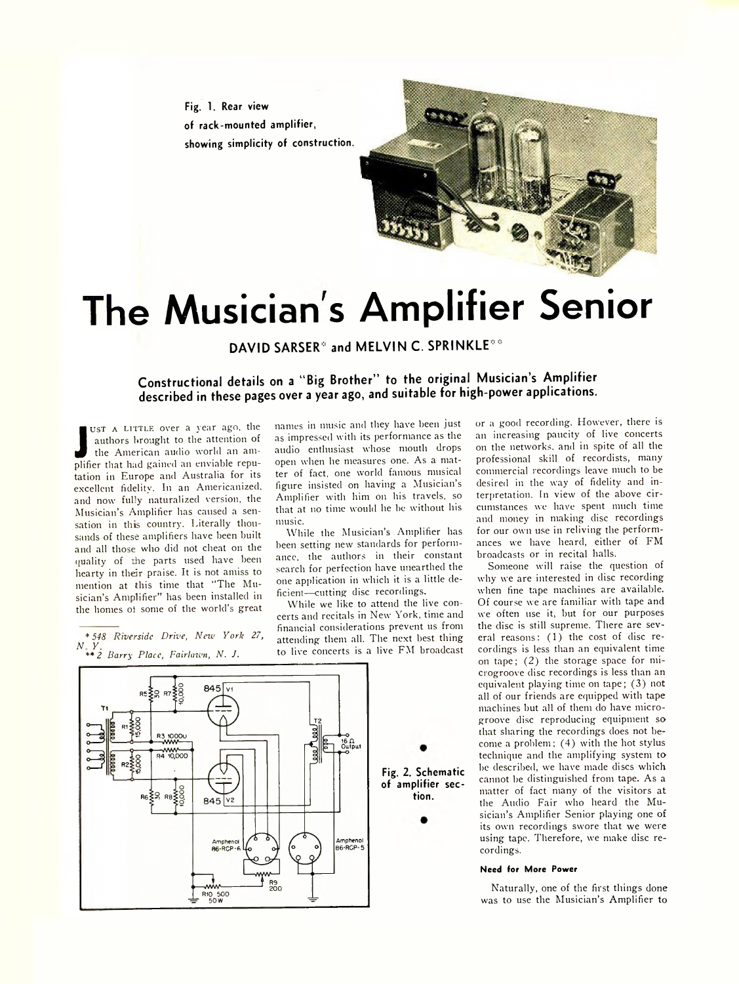**Fig. 1. Rear view of rack-mounted amplifier, showing simplicity of construction.**



# **The Musician's Amplifier Senior**

**DAVID SARSER\*** and MELVIN C. SPRINKLE\*\*

**Constructional details on a " Big Brother" to the original Musician's Amplifier described in these pages over a year ago, and suitable for high-power applications.**

UST A LITTLE over a year ago, the<br>authors brought to the attention of<br>the American audio world an am-<br>plifier that had gained an enviable repuust A LITTLE over a year ago, the authors brought to the attention of the American audio world an amtation in Europe and Australia for its excellent fidelity. In an Americanized, and now fully naturalized version, the Musician's Amplifier has caused a sensation in this country. Literally thousands of these amplifiers have been built and all those who did not cheat on the quality of the parts used have been hearty in their praise. It is not amiss to mention at this time that "The Musician's Amplifier" has been installed in the homes oi some of the world's great

*\*548 Riverside Drive, New York 27, n y. \*\* 2 Barry Place, Fairlaivn, N . J.*

names in music and they have been just as impressed with its performance as the audio enthusiast whose mouth drops open when he measures one. As a matter of fact, one world famous musical figure insisted on having a Musician's Amplifier with him on his travels, so that at no time would he he without his music.

While the Musician's Amplifier has been setting new standards for performance, the authors in their constant search for perfection have unearthed the one application in which it is a little deficient—cutting disc recordings.

While we like to attend the live concerts and recitals in New York, time and financial considerations prevent us from attending them all. The next best thing to live concerts is a live FM broadcast

**tion.**

or a good recording. However, there is an increasing paucity of live concerts on the networks, and in spite of all the professional skill of recordists, many commercial recordings leave much to be desired in the way of fidelity and interpretation. In view of the above circumstances we have spent much time and money in making disc recordings for our own use in reliving the performances we have heard, either of FM broadcasts or in recital halls.

Someone will raise the question of why we are interested in disc recording when fine tape machines are available. Of course we are familiar with tape and we often use it, but for our purposes the disc is still supreme. There are several reasons: (1) the cost of disc recordings is less than an equivalent time on tape; (2) the storage space for microgroove disc recordings is less than an equivalent playing time on tape; (3) not all of our friends are equipped with tape machines but all of them do have microgroove disc reproducing equipment so that sharing the recordings does not become a problem; (4) with the hot stylus technique and the amplifying system to he described, we have made discs which cannot be distinguished from tape. As a matter of fact many of the visitors at the Audio Fair who heard the Musician's Amplifier Senior playing one of its own recordings swore that we were using tape. Therefore, we make disc recordings.

#### **Need for More Power**

Naturally, one of the first things done was to use the Musician's Amplifier to

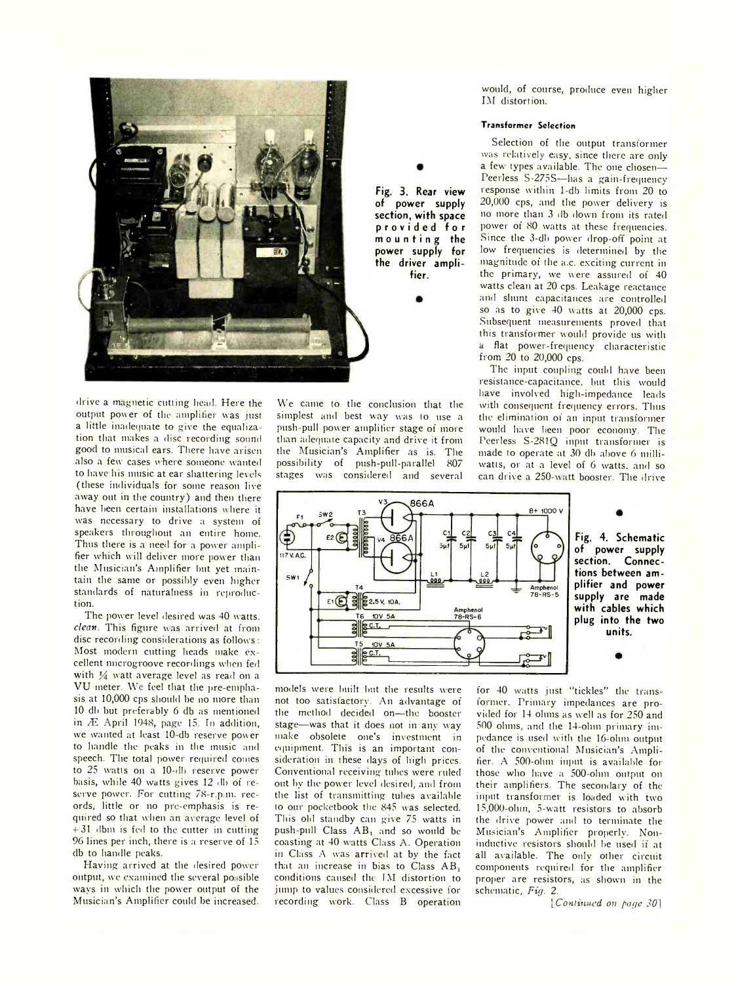

drive a magnetic cutting head. Here the output power of the amplifier was just a little inadequate to give the equalization that makes a disc recording sound good to musical ears. There have arisen also a few cases where someone wanted to have his music at ear shattering levels (these individuals for some reason live away out in the country) and then there have been certain installations where it was necessary to drive a system of speakers throughout an entire home. Thus there is a need for a power amplifier which will deliver more power than the Musician's Amplifier but yet maintain the same or possibly even higher standards of naturalness in reproduction.

The power level desired was 40 watts. *clean* This figure was arrived at from disc recording considerations as follows : Most modern cutting heads make excellent microgroove recordings when fed with  $\frac{1}{4}$  watt average level as read on a VU meter. We feel that the pre-emphasis at 10,000 cps should be no more than 10 db but preferably 6 db as mentioned in *7E* April 1948, page 15. In addition, we wanted at least 10-db reserve power to handle the peaks in the music and speech. The total power required comes to 25 watts on a 10-db reserve power basis, while 40 watts gives 12 db of reserve power. For cutting 78-r.p.m. records, little or no pre-emphasis is required so that when an average level of  $+31$  dbm is fed to the cutter in cutting 96 lines per inch, there is a reserve of 15 db to handle peaks.

Having arrived at the desired power output, we examined the several po .sible ways in which the power output of the Musician's Amplifier could be increased.

We came to the conclusion that the simplest and best way was to use a push-pull power amplifier stage of more than adequate capacity and drive it from the Musician's Amplifier as is. The possibility of push-pull-parallel 807 stages was considered and several would, of course, produce even higher IM distortion.

## **Transformer Selection**

Selection of the output transformer was relatively easy, since there are only a few types available. The one chosen— Peerless S-275S—has a gain-frequency response within 1-db limits from 20 to 20,000 cps, and the power delivery is no more than 3 db down from its rated power of 80 watts at these frequencies. Since the 3-dh power drop-off point at low frequencies is determined by the magnitude of the a.c. exciting current in the primary, we were assured of 40 watts clean at 20 cps. Leakage reactance and shunt capacitances are controlled so as to give 40 watts at 20,000 cps. Subsequent measurements proved that this transformer would provide us with a flat power-frequency characteristic from 20 to 20,000 cps.

The input coupling could have been resistance-capacitance, but this would have involved high-impedance leads with consequent frequency errors. Thus the elimination of an input transformer would have been poor economy. The Peerless S-281Q input transformer is made to operate at 30 db above 6 milliwatts, or at a level of 6 watts, and so can drive a 250-watt booster. The drive



**fier.**

**Fig. 4. Schematic of power supply section. Connections between amplifier and power supply are made with cables which plug into the two units.**

models were built but the results were not too satisfactory. An advantage of the method decided on—the booster stage— was that it does not in any way make obsolete one's investment in equipment. This is an important consideration in these days of high prices. Conventional receiving tubes were ruled out by the power level desired, and from the list of transmitting tubes available to our pocketbook the 845 was selected. This old standby can give 75 watts in push-pull Class AB, and so would be coasting at 40 watts Class A. Operation in Class A was arrived at by the fact that an increase in bias to Class AB, conditions caused the IM distortion to jump to values considered excessive for recording work. Class B operation

for 40 watts just "tickles" the translormer. Primary impedances are provided for 14 ohms as well as for 250 and 500 ohms, and the 14-ohm primary impedance is used with the 16-ohm output of the conventional Musician's Amplifier. A 500-ohm input is available for those who have a 500-olmi output on their amplifiers. The secondary of the input transformer is loaded with two 15,000-ohin, 5-watt resistors to absorb the drive power and to terminate the Musician's Amplifier properlv. Noninductive resistors should be used if at all available. The only other circuit components required for the amplifier proper are resistors, as shown in the schematic, *Fig.* 2.

*['Continued on page* JO]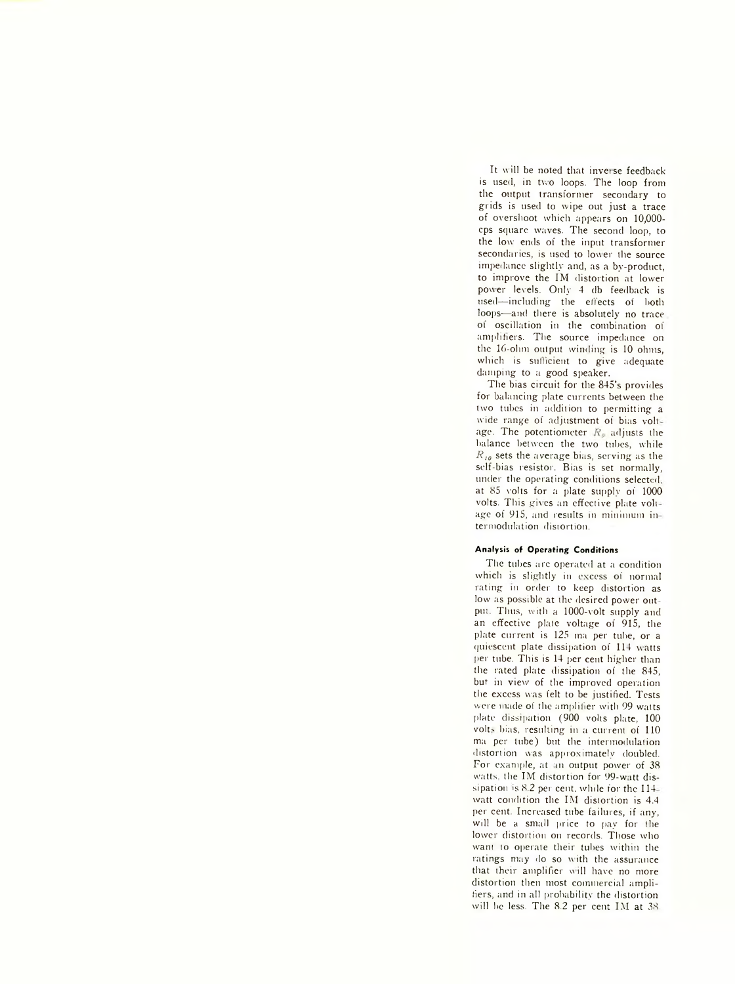It will be noted that inverse feedback is used, in two loops. The loop from the output transformer secondary to grids is used to wipe out just a trace of overshoot which appears on 10,000 cps square waves. The second loop, to the low ends of the input transformer secondaries, is used to lower the source impedance slightly and, as a by-product, to improve the IM distortion at lower power levels. Only 4 db feedback is used— including the effects of both loops—and there is absolutely no trace of oscillation in the combination of amplifiers. The source impedance on the 16-olun output winding is 10 ohms, which is sufficient to give adequate damping to a good speaker.

The bias circuit for the 845's provides for balancing plate currents between the two tubes in addition to permitting a wide range of adjustment of bias voltage. The potentiometer  $R_{\theta}$  adjusts the balance between the two tubes, while *R 10* sets the average bias, serving as the self-bias resistor. Bias is set normally, under the operating conditions selected. at 85 volts for a plate supply of 1000 volts. This gives an effective plate voltage of 915, and results in minimum in termodulation distortion.

# **Analysis of Operating Conditions**

The tubes are operated at a condition which is slightly in excess of normal rating m order to keep distortion as low as possible at the desired power out put. Thus, with a- 1000-volt supply and an effective plate voltage of 915, the plate current is 125 ma per tube, or a quiescent plate dissipation of 114 watts per tube. This is 14 per cent higher than the rated plate dissipation of the 845, but in view' of the improved operation the excess was felt to be justified. Tests were made of the amplifier with 99 watts plate dissipation (900 volts plate, 100 volts bias, resulting in a current of 110 ma per tube) but the intermodulation distortion was approximately doubled. For example, at an output power of 38 watts, the IM distortion for 99-watt dissipation is 8.2 per cent, while for the 114watt condition the IM distortion is 4.4 per cent. Increased tube failures, if any, will be a small price to pay for the lower distortion on records. Those who want to operate their tubes within the ratings may do so with the assurance that their amplifier will have no more distortion then most commercial amplifiers, and in all probability the distortion will be less. The 8.2 per cent IM at 38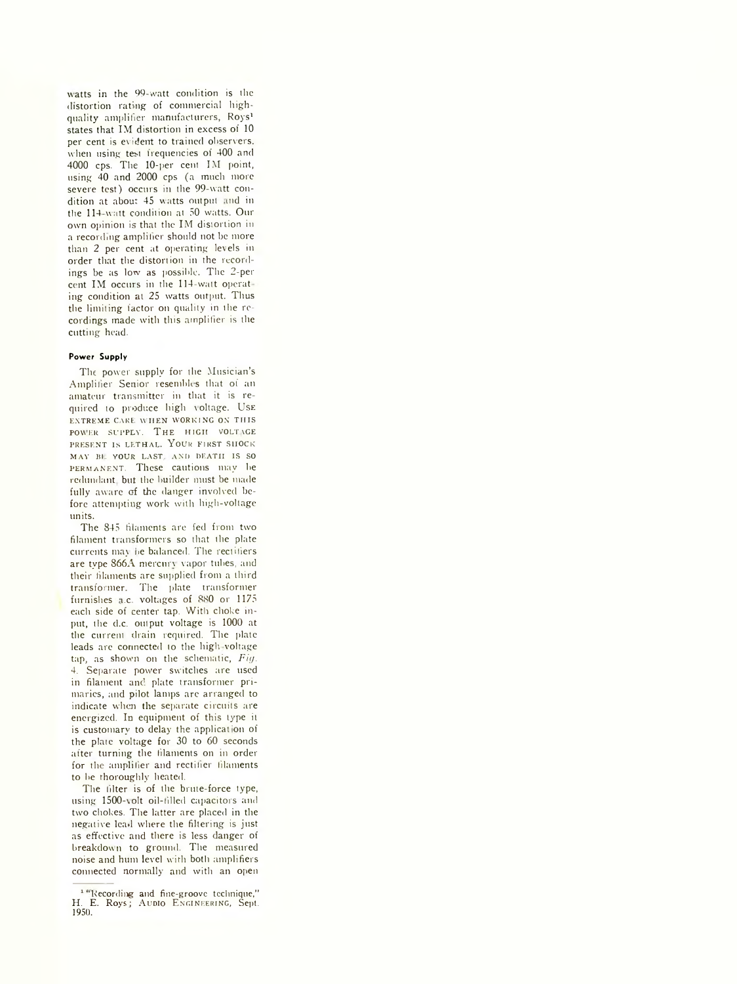watts in the 99-watt condition is the distortion rating of commercial highquality amplifier manufacturers, Roys1 states that IM distortion in excess of 10 per cent is evident to trained observers. when using test frequencies of 400 and 4000 cps. The 10-per cent IM point, using 40 and 2000 cps (a much more severe test) occurs in the 99-watt condition at about 45 watts output and in the 114 watt condition at 50 watts. Our own opinion is that the IM distortion in a recording amplifier should not be more than 2 per cent at operating levels in order that the distortion in the recordings be as low as possible. The 2-per cent IM occurs in the 114-watt operat ing condition at 25 watts output. Thus the limiting factor on quality in the recordings made with this amplifier is the cutting head.

## **Power Supply**

The power supply for the Musician's Amplifier Senior resembles that of an amateur transmitter in that it is required to produce high voltage. Use ENTREME CARE WHEN WORKING ON THIS POWER SUPPLY. THE HIGH VOLTAGE PRESENT IS LETHAL. YOUR FIRST SHOCK MAY BL YOUR LAST, AND DEATH IS SO PERMANENT. These cautions may be redundant but the builder must be made fully aware of the danger involved before attempting work with high-voltage units.

The 845 filaments are fed from two filament transformers so that the plate currents may be balanced. The rectifiers are type 866A mercury vapor tubes, and their filaments are supplied from a third transformer. The plate transformer furnishes i.c. voltages of 880 or 1175 each side of center tap. With choke input, the d.c. output voltage is 1000 at the current drain required. The plate leads are connected to the high-voltage tap, as shown on the schematic, *Fig.* 4. Separate power switches are used in filament and plate transformer primaries, and pilot lamps are arranged to indicate when the separate circuits are energized. In equipment of this type it is customary to delay the application of the plate voltage for 30 to 60 seconds after turning the filaments on in order for the amplifier and rectifier filaments to be thoroughly heated.

The filter is of the brute-force type, using 1500-volt oil-filled capacitors and two chokes. The latter are placed in the negative lead where the filtering is just as effective and there is less danger of breakdown to ground. The measured noise and hum level with both amplifiers connected normally and with an open

<sup>&</sup>lt;sup>1 "</sup>Recording and fine-groove technique," H. E. Roys; AUDIO ENGINEERING, Sept. 1950.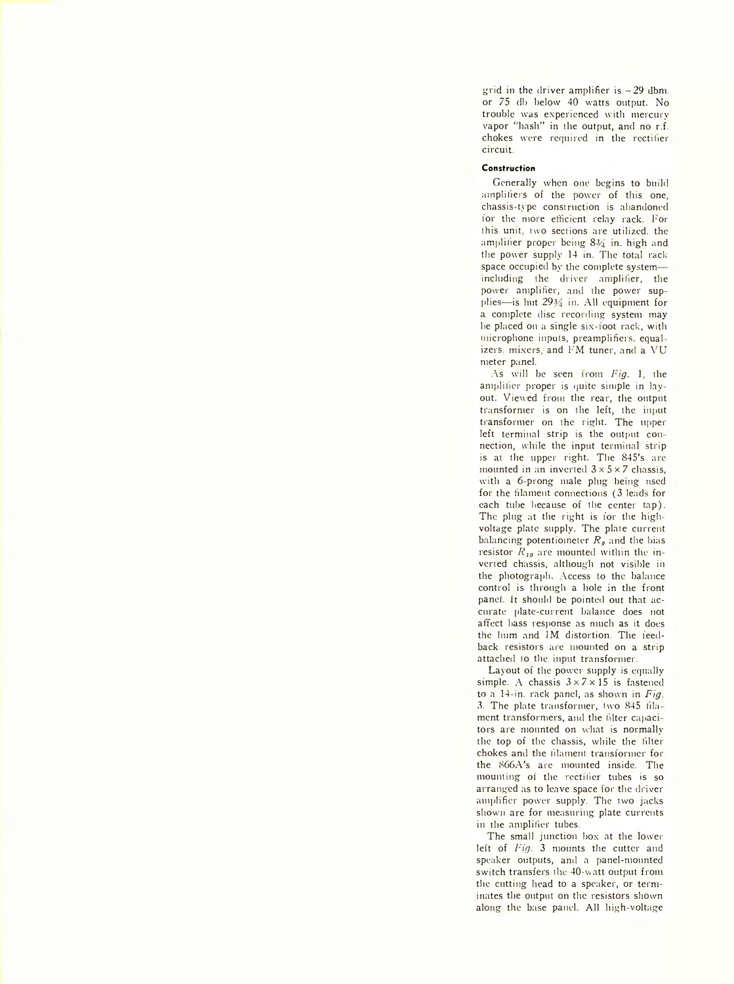grid in the driver amplifier is  $-29$  dbm. or 75 db below 40 watts output. No trouble was experienced with mercury vapor "hash" in the output, and no r.f. chokes were required in the rectifier circuit.

## **Construction**

Generally when one begins to build amplifiers of the power of this one, chassis-type construction is abandoned for the more efficient relay rack. For this unit, two sections are utilized, the amplifier proper being 834 in. high and the power supply 14 in. The total rack space occupied by the complete system including the driver amplifier, the power amplifier, and the power supplies—is hut  $29\frac{1}{4}$  in. All equipment for a complete disc recording system may lie placed on a single six-foot rack, with microphone inputs, preamplifiers, equal izers, mixers, and FM tuner, and a VU meter panel.

As will be seen from *Fig.* 1, the amplifier proper is quite simple in layout. Viewed from the rear, the output transformer is on the left, the input transformer on the right. The upper left terminal strip is the output connection, while the input terminal strip is at the upper right. The 845's are mounted in an inverted  $3 \times 5 \times 7$  chassis, with a 6-prong male plug being used for the filament connections (3 leads for each tube because of the center tap). The plug at the right is for the highvoltage plate supply. The plate current balancing potentiometer  $R_g$  and the bias resistor  $R_{10}$  are mounted within the inverted chassis, although not visible in the photograph. Access to the balance control is through a hole in the front panel, it should be pointed out that accurate plate-current balance does not affect bass response as much as it does the hum and IM distortion. The feedback resistors are mounted on a strip attached to the input transformer.

Layout of the power supply is equally simple. A chassis  $3 \times 7 \times 15$  is fastened to a 14-in. rack panel, as shown in *Fig.* 3. The plate transformer, (wo 845 fils ment transformers, and the filter capacitors are mounted on what is normally the top of the chassis, while the filter chokes and the filament transformer for the S66A's are mounted inside. The mounting of the rectifier tubes is so arranged as to leave space for the driver amplifier power supply. The two jacks shown are for measuring plate currents in the amplifier tubes.

The small junction box at the lower left of *Pig.* 3 mounts the cutter and speaker outputs, and a panel-mounted switch transfers the 40-watt output from the cutting head to a speaker, or terminates the output on the resistors shown along the base panel. All high-voltage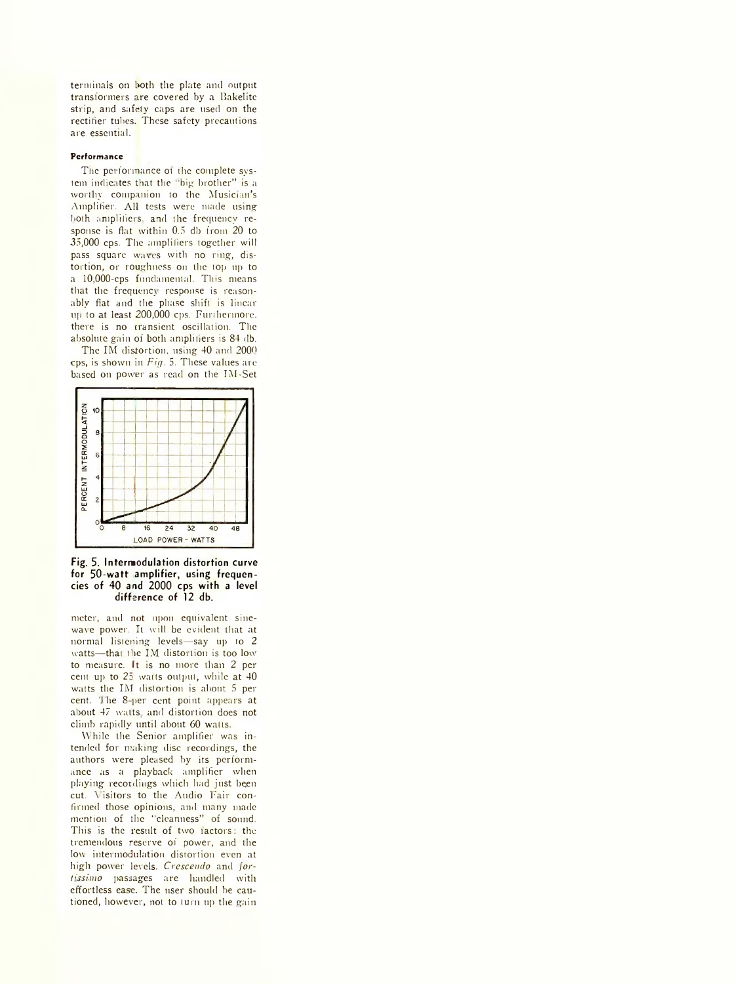terminals on both the plate and output transformers are covered by a Bakelitc strip, and safety caps are used on the rectifier tubes. These safety precautions are essential.

### **Performance**

The performance of the complete system indicates that the "big brother" is a worthy companion to the Musician's Amplifier. All tests were made using both amplifiers, and the frequency response is flat within 0.5 db from 20 to 35,000 cps. The amplifiers together will pass square waves with no ring, distortion, or roughness on the top up to a 10,000-cps fundamental. This means that the frequency response is reasonably flat and the phase shift is linear up to at least 200,000 cps. Furthermore, there is no transient oscillation. The absolute gain of both amplifiers is 84 db.

The IM distortion, using 40 and 2000 cps, is shown in *Fig.* 5. These values arebased on power as read on the IM-Set



**Fig. 5. Intermodulation distortion curve for 50-watt amplifier, using frequencies of 40 and 2000 cps with a level difference of 12 db.**

meter, and not upon equivalent sineware power. It will be evident that at normal listening levels—say up to 2 watts—that the IM distortion is too low to measure. It is no more than 2 per cent up to 25 watts output, while at 40 watts the IM distortion is about 5 per cent. The 8-per cent point appears at about 47 watts and distortion does not climb rapidly until about 60 watts.

While the Senior amplifier was intended for making disc recordings, the authors were pleased by its performance as a playback amplifier when playing recordings which had just been cut. \ isitors to the Audio Fair confirmed those opinions, and many made mention of the "cleanness" of sound. This is the result of two factors: the tremendous reserve of power, and the low intermodulation distortion even at high power levels. *Crescendo* and *fort'ssimo* passages are handled with effortless ease. The user should be cautioned, however, not to turn up the gain